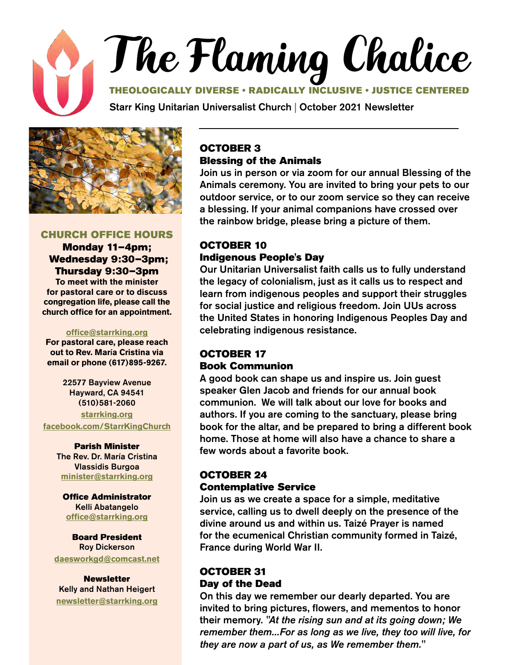



#### CHURCH OFFICE HOURS

Monday 11–4pm; Wednesday 9:30–3pm; Thursday 9:30–3pm

**To meet with the minister for pastoral care or to discuss congregation life, please call the church office for an appointment.**

#### **[office@starrking.org](mailto:office@starrking.org)**

**For pastoral care, please reach out to Rev. Mar**í**a Cristina via email or phone (617)895-9267.** 

> 22577 Bayview Avenue Hayward, CA 94541 (510)581-2060

**[starrking.org](http://starrking.org) [facebook.com/StarrKingChurch](http://facebook.com/StarrKingChurch)**

#### Parish Minister

The Rev. Dr. María Cristina Vlassidis Burgoa **[minister@starrking.org](mailto:minister@starrking.org)**

Office Administrator Kelli Abatangelo **[office@starrking.org](mailto:office@starrking.org)**

Board President Roy Dickerson **[daesworkgd@comcast.net](mailto:daesworkgd%40comcast.net?subject=)**

**Newsletter** Kelly and Nathan Heigert **[newsletter@starrking.org](mailto:newsletter%40starrking.org?subject=)**

### OCTOBER 3 Blessing of the Animals

Join us in person or via zoom for our annual Blessing of the Animals ceremony. You are invited to bring your pets to our outdoor service, or to our zoom service so they can receive a blessing. If your animal companions have crossed over the rainbow bridge, please bring a picture of them.

### OCTOBER 10 Indigenous People's Day

Our Unitarian Universalist faith calls us to fully understand the legacy of colonialism, just as it calls us to respect and learn from indigenous peoples and support their struggles for social justice and religious freedom. Join UUs across the United States in honoring Indigenous Peoples Day and celebrating indigenous resistance.

### OCTOBER 17 Book Communion

A good book can shape us and inspire us. Join guest speaker Glen Jacob and friends for our annual book communion. We will talk about our love for books and authors. If you are coming to the sanctuary, please bring book for the altar, and be prepared to bring a different book home. Those at home will also have a chance to share a few words about a favorite book.

### OCTOBER 24 Contemplative Service

Join us as we create a space for a simple, meditative service, calling us to dwell deeply on the presence of the divine around us and within us. Taizé Prayer is named for the ecumenical Christian community formed in Taizé, France during World War II.

### OCTOBER 31 Day of the Dead

On this day we remember our dearly departed. You are invited to bring pictures, flowers, and mementos to honor their memory. *"At the rising sun and at its going down; We remember them...For as long as we live, they too will live, for they are now a part of us, as We remember them."*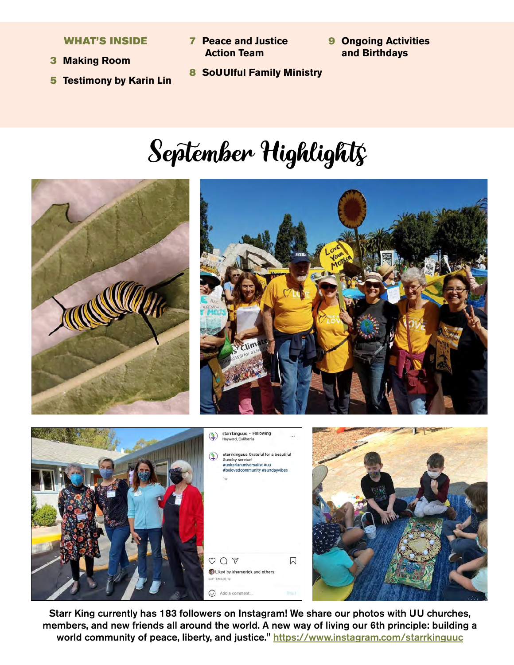WHAT'S INSIDE

- 3 **Making Room**
- 5 **Testimony by Karin Lin**
- 7 **Peace and Justice Action Team**
- 9 **Ongoing Activities and Birthdays**
- 8 **SoUUlful Family Ministry**

# September Highlights









Starr King currently has 183 followers on Instagram! We share our photos with UU churches, members, and new friends all around the world. A new way of living our 6th principle: building a world community of peace, liberty, and justice." <https://www.instagram.com/starrkinguuc>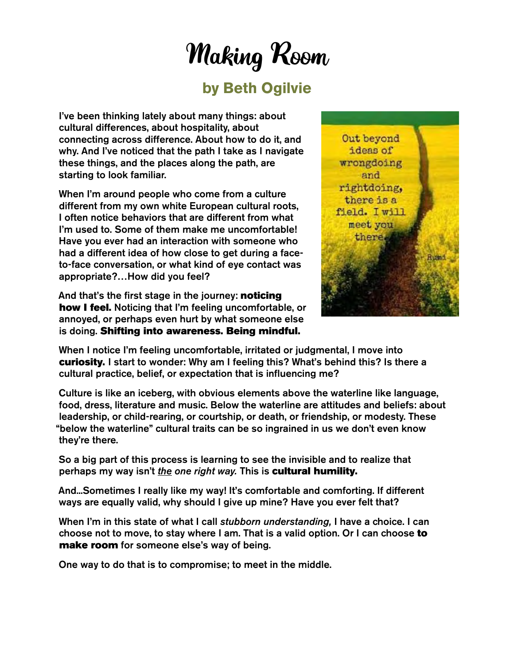## Making Room

## **by Beth Ogilvie**

I've been thinking lately about many things: about cultural differences, about hospitality, about connecting across difference. About how to do it, and why. And I've noticed that the path I take as I navigate these things, and the places along the path, are starting to look familiar.

When I'm around people who come from a culture different from my own white European cultural roots, I often notice behaviors that are different from what I'm used to. Some of them make me uncomfortable! Have you ever had an interaction with someone who had a different idea of how close to get during a faceto-face conversation, or what kind of eye contact was appropriate?…How did you feel?

And that's the first stage in the journey: noticing how I feel. Noticing that I'm feeling uncomfortable, or annoyed, or perhaps even hurt by what someone else is doing. Shifting into awareness. Being mindful.



When I notice I'm feeling uncomfortable, irritated or judgmental, I move into curiosity. I start to wonder: Why am I feeling this? What's behind this? Is there a cultural practice, belief, or expectation that is influencing me?

Culture is like an iceberg, with obvious elements above the waterline like language, food, dress, literature and music. Below the waterline are attitudes and beliefs: about leadership, or child-rearing, or courtship, or death, or friendship, or modesty. These "below the waterline" cultural traits can be so ingrained in us we don't even know they're there.

So a big part of this process is learning to see the invisible and to realize that perhaps my way isn't *the one right way.* This is cultural humility.

And...Sometimes I really like my way! It's comfortable and comforting. If different ways are equally valid, why should I give up mine? Have you ever felt that?

When I'm in this state of what I call *stubborn understanding,* I have a choice. I can choose not to move, to stay where I am. That is a valid option. Or I can choose to make room for someone else's way of being.

One way to do that is to compromise; to meet in the middle.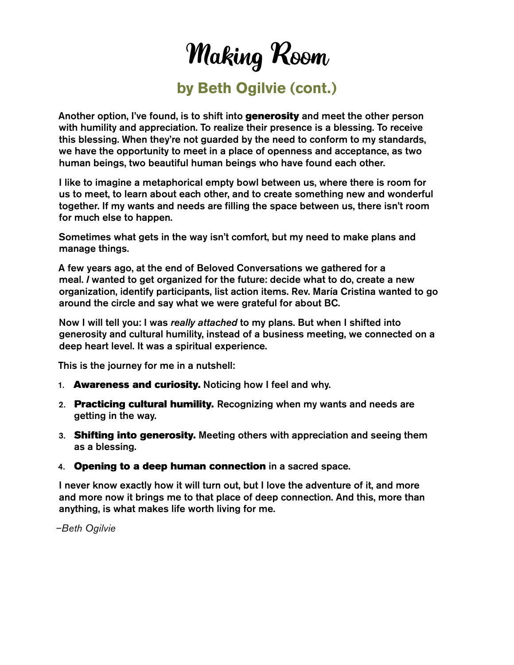Making Room

## **by Beth Ogilvie (cont.)**

Another option, I've found, is to shift into generosity and meet the other person with humility and appreciation. To realize their presence is a blessing. To receive this blessing. When they're not guarded by the need to conform to my standards, we have the opportunity to meet in a place of openness and acceptance, as two human beings, two beautiful human beings who have found each other.

I like to imagine a metaphorical empty bowl between us, where there is room for us to meet, to learn about each other, and to create something new and wonderful together. If my wants and needs are filling the space between us, there isn't room for much else to happen.

Sometimes what gets in the way isn't comfort, but my need to make plans and manage things.

A few years ago, at the end of Beloved Conversations we gathered for a meal. *I* wanted to get organized for the future: decide what to do, create a new organization, identify participants, list action items. Rev. María Cristina wanted to go around the circle and say what we were grateful for about BC.

Now I will tell you: I was *really attached* to my plans. But when I shifted into generosity and cultural humility, instead of a business meeting, we connected on a deep heart level. It was a spiritual experience.

This is the journey for me in a nutshell:

- 1. Awareness and curiosity. Noticing how I feel and why.
- 2. Practicing cultural humility. Recognizing when my wants and needs are getting in the way.
- 3. Shifting into generosity. Meeting others with appreciation and seeing them as a blessing.
- 4. Opening to a deep human connection in a sacred space.

I never know exactly how it will turn out, but I love the adventure of it, and more and more now it brings me to that place of deep connection. And this, more than anything, is what makes life worth living for me.

*–Beth Ogilvie*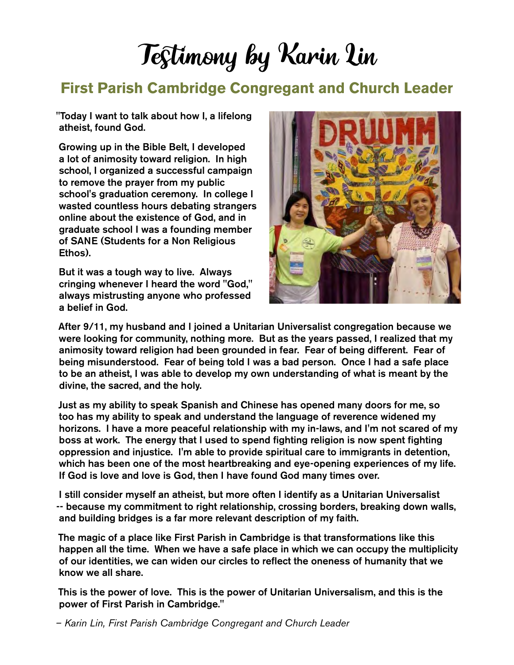# Testimony by Karin Lin

## **First Parish Cambridge Congregant and Church Leader**

"Today I want to talk about how I, a lifelong atheist, found God.

Growing up in the Bible Belt, I developed a lot of animosity toward religion. In high school, I organized a successful campaign to remove the prayer from my public school's graduation ceremony. In college I wasted countless hours debating strangers online about the existence of God, and in graduate school I was a founding member of SANE (Students for a Non Religious Ethos).

But it was a tough way to live. Always cringing whenever I heard the word "God," always mistrusting anyone who professed a belief in God.



After 9/11, my husband and I joined a Unitarian Universalist congregation because we were looking for community, nothing more. But as the years passed, I realized that my animosity toward religion had been grounded in fear. Fear of being different. Fear of being misunderstood. Fear of being told I was a bad person. Once I had a safe place to be an atheist, I was able to develop my own understanding of what is meant by the divine, the sacred, and the holy.

Just as my ability to speak Spanish and Chinese has opened many doors for me, so too has my ability to speak and understand the language of reverence widened my horizons. I have a more peaceful relationship with my in-laws, and I'm not scared of my boss at work. The energy that I used to spend fighting religion is now spent fighting oppression and injustice. I'm able to provide spiritual care to immigrants in detention, which has been one of the most heartbreaking and eye-opening experiences of my life. If God is love and love is God, then I have found God many times over.

I still consider myself an atheist, but more often I identify as a Unitarian Universalist -- because my commitment to right relationship, crossing borders, breaking down walls, and building bridges is a far more relevant description of my faith.

The magic of a place like First Parish in Cambridge is that transformations like this happen all the time. When we have a safe place in which we can occupy the multiplicity of our identities, we can widen our circles to reflect the oneness of humanity that we know we all share.

This is the power of love. This is the power of Unitarian Universalism, and this is the power of First Parish in Cambridge."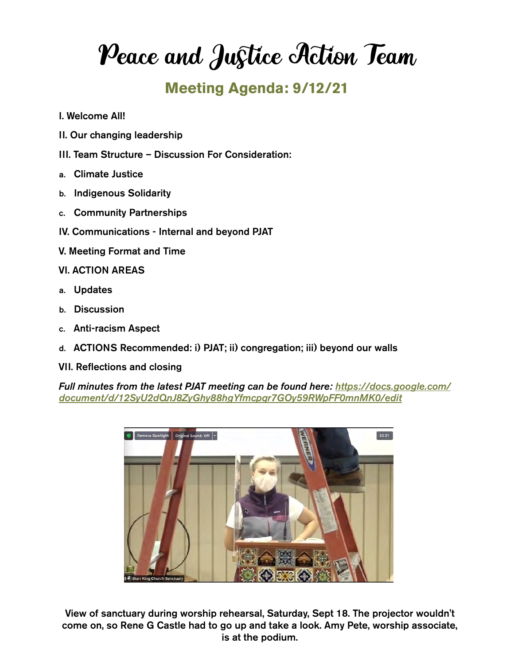Peace and Justice Action Team

## **Meeting Agenda: 9/12/21**

- I. Welcome All!
- II. Our changing leadership
- III. Team Structure Discussion For Consideration:
- a. Climate Justice
- b. Indigenous Solidarity
- c. Community Partnerships
- IV. Communications Internal and beyond PJAT
- V. Meeting Format and Time
- VI. ACTION AREAS
- a. Updates
- b. Discussion
- c. Anti-racism Aspect
- d. ACTIONS Recommended: i) PJAT; ii) congregation; iii) beyond our walls
- VII. Reflections and closing

*Full minutes from the latest PJAT meeting can be found here: [https://docs.google.com/](https://docs.google.com/document/d/12SyU2dQnJ8ZyGhy88hgYfmcpqr7GOy59RWpFF0mnMK0/edit) [document/d/12SyU2dQnJ8ZyGhy88hgYfmcpqr7GOy59RWpFF0mnMK0/edit](https://docs.google.com/document/d/12SyU2dQnJ8ZyGhy88hgYfmcpqr7GOy59RWpFF0mnMK0/edit)*



View of sanctuary during worship rehearsal, Saturday, Sept 18. The projector wouldn't come on, so Rene G Castle had to go up and take a look. Amy Pete, worship associate, is at the podium.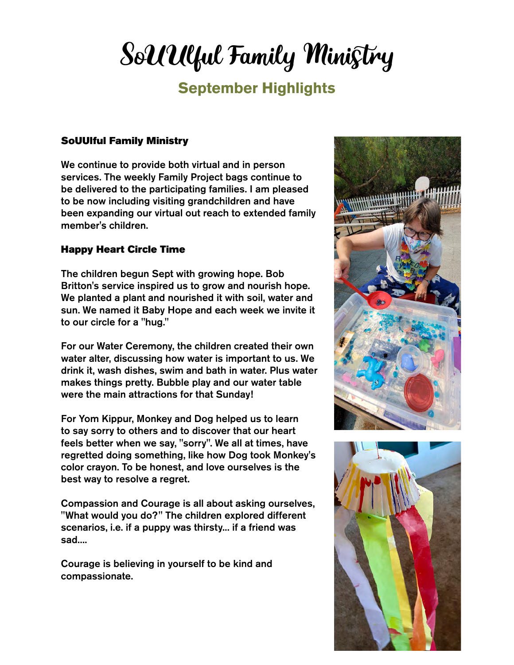# SoUUlful Family Ministry

## **September Highlights**

#### SoUUlful Family Ministry

We continue to provide both virtual and in person services. The weekly Family Project bags continue to be delivered to the participating families. I am pleased to be now including visiting grandchildren and have been expanding our virtual out reach to extended family member's children.

### Happy Heart Circle Time

The children begun Sept with growing hope. Bob Britton's service inspired us to grow and nourish hope. We planted a plant and nourished it with soil, water and sun. We named it Baby Hope and each week we invite it to our circle for a "hug."

For our Water Ceremony, the children created their own water alter, discussing how water is important to us. We drink it, wash dishes, swim and bath in water. Plus water makes things pretty. Bubble play and our water table were the main attractions for that Sunday!

For Yom Kippur, Monkey and Dog helped us to learn to say sorry to others and to discover that our heart feels better when we say, "sorry". We all at times, have regretted doing something, like how Dog took Monkey's color crayon. To be honest, and love ourselves is the best way to resolve a regret.

Compassion and Courage is all about asking ourselves, "What would you do?" The children explored different scenarios, i.e. if a puppy was thirsty... if a friend was sad....

Courage is believing in yourself to be kind and compassionate.



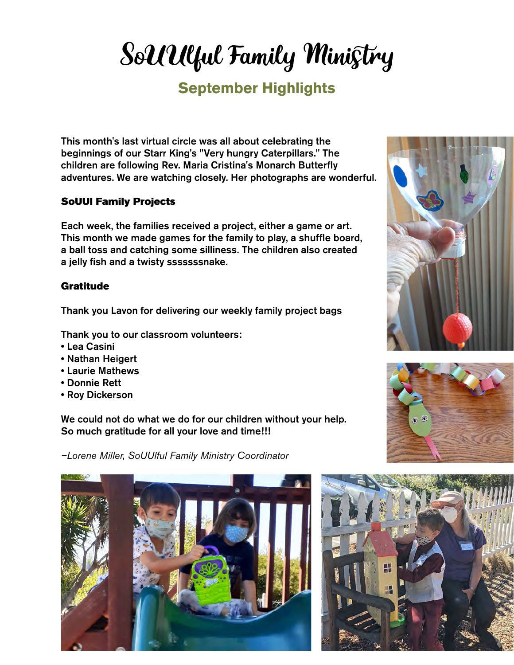# SoUUlful Family Ministry

## **September Highlights**

This month's last virtual circle was all about celebrating the beginnings of our Starr King's "Very hungry Caterpillars." The children are following Rev. Maria Cristina's Monarch Butterfly adventures. We are watching closely. Her photographs are wonderful.

### SoUUl Family Projects

Each week, the families received a project, either a game or art. This month we made games for the family to play, a shuffle board, a ball toss and catching some silliness. The children also created a jelly fish and a twisty sssssssnake.

### **Gratitude**

Thank you Lavon for delivering our weekly family project bags

Thank you to our classroom volunteers:

- Lea Casini
- Nathan Heigert
- Laurie Mathews
- Donnie Rett
- Roy Dickerson

We could not do what we do for our children without your help. So much gratitude for all your love and time!!!

*–Lorene Miller, SoUUlful Family Ministry Coordinator*